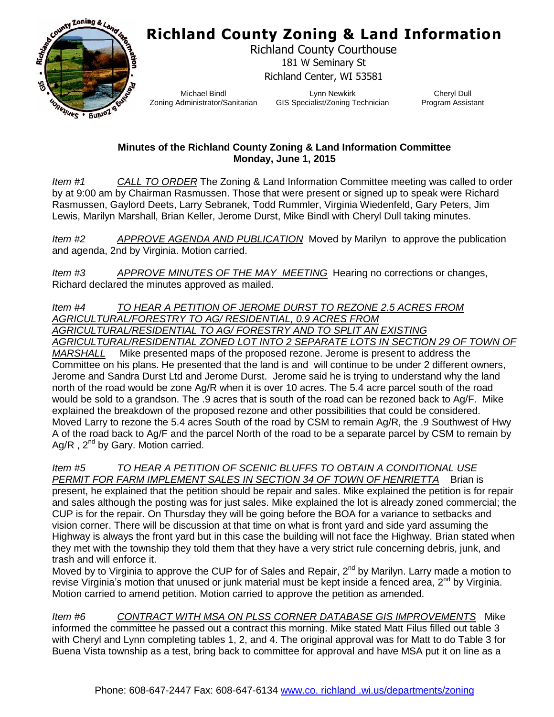## **Richland County Zoning & Land Information**



Richland County Courthouse 181 W Seminary St Richland Center, WI 53581

Michael Bindl Zoning Administrator/Sanitarian

Lynn Newkirk GIS Specialist/Zoning Technician

Cheryl Dull Program Assistant

## **Minutes of the Richland County Zoning & Land Information Committee Monday, June 1, 2015**

*Item #1 CALL TO ORDER* The Zoning & Land Information Committee meeting was called to order by at 9:00 am by Chairman Rasmussen. Those that were present or signed up to speak were Richard Rasmussen, Gaylord Deets, Larry Sebranek, Todd Rummler, Virginia Wiedenfeld, Gary Peters, Jim Lewis, Marilyn Marshall, Brian Keller, Jerome Durst, Mike Bindl with Cheryl Dull taking minutes.

*Item #2 APPROVE AGENDA AND PUBLICATION* Moved by Marilyn to approve the publication and agenda, 2nd by Virginia. Motion carried.

*Item #3 APPROVE MINUTES OF THE MAY MEETING* Hearing no corrections or changes, Richard declared the minutes approved as mailed.

*Item #4 TO HEAR A PETITION OF JEROME DURST TO REZONE 2.5 ACRES FROM AGRICULTURAL/FORESTRY TO AG/ RESIDENTIAL, 0.9 ACRES FROM AGRICULTURAL/RESIDENTIAL TO AG/ FORESTRY AND TO SPLIT AN EXISTING AGRICULTURAL/RESIDENTIAL ZONED LOT INTO 2 SEPARATE LOTS IN SECTION 29 OF TOWN OF*

*MARSHALL* Mike presented maps of the proposed rezone. Jerome is present to address the Committee on his plans. He presented that the land is and will continue to be under 2 different owners, Jerome and Sandra Durst Ltd and Jerome Durst. Jerome said he is trying to understand why the land north of the road would be zone Ag/R when it is over 10 acres. The 5.4 acre parcel south of the road would be sold to a grandson. The .9 acres that is south of the road can be rezoned back to Ag/F. Mike explained the breakdown of the proposed rezone and other possibilities that could be considered. Moved Larry to rezone the 5.4 acres South of the road by CSM to remain Ag/R, the .9 Southwest of Hwy A of the road back to Ag/F and the parcel North of the road to be a separate parcel by CSM to remain by Ag/R,  $2<sup>nd</sup>$  by Gary. Motion carried.

*Item #5 TO HEAR A PETITION OF SCENIC BLUFFS TO OBTAIN A CONDITIONAL USE PERMIT FOR FARM IMPLEMENT SALES IN SECTION 34 OF TOWN OF HENRIETTA* Brian is

present, he explained that the petition should be repair and sales. Mike explained the petition is for repair and sales although the posting was for just sales. Mike explained the lot is already zoned commercial; the CUP is for the repair. On Thursday they will be going before the BOA for a variance to setbacks and vision corner. There will be discussion at that time on what is front yard and side yard assuming the Highway is always the front yard but in this case the building will not face the Highway. Brian stated when they met with the township they told them that they have a very strict rule concerning debris, junk, and trash and will enforce it.

Moved by to Virginia to approve the CUP for of Sales and Repair,  $2^{nd}$  by Marilyn. Larry made a motion to revise Virginia's motion that unused or junk material must be kept inside a fenced area,  $2^{nd}$  by Virginia. Motion carried to amend petition. Motion carried to approve the petition as amended.

*Item #6 CONTRACT WITH MSA ON PLSS CORNER DATABASE GIS IMPROVEMENTS* Mike informed the committee he passed out a contract this morning. Mike stated Matt Filus filled out table 3 with Cheryl and Lynn completing tables 1, 2, and 4. The original approval was for Matt to do Table 3 for Buena Vista township as a test, bring back to committee for approval and have MSA put it on line as a